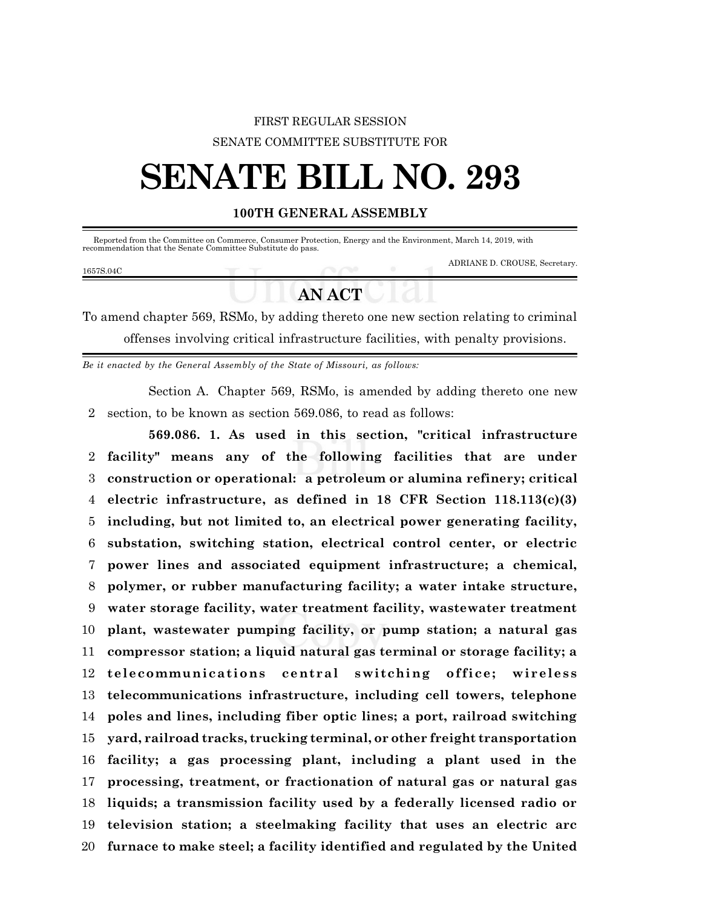## FIRST REGULAR SESSION SENATE COMMITTEE SUBSTITUTE FOR

# **SENATE BILL NO. 293**

### **100TH GENERAL ASSEMBLY**

Reported from the Committee on Commerce, Consumer Protection, Energy and the Environment, March 14, 2019, with recommendation that the Senate Committee Substitute do pass.

#### 1657S.04C

ADRIANE D. CROUSE, Secretary.

## **AN ACT**

To amend chapter 569, RSMo, by adding thereto one new section relating to criminal offenses involving critical infrastructure facilities, with penalty provisions.

*Be it enacted by the General Assembly of the State of Missouri, as follows:*

Section A. Chapter 569, RSMo, is amended by adding thereto one new section, to be known as section 569.086, to read as follows:

**569.086. 1. As used in this section, "critical infrastructure facility" means any of the following facilities that are under construction or operational: a petroleum or alumina refinery; critical electric infrastructure, as defined in 18 CFR Section 118.113(c)(3) including, but not limited to, an electrical power generating facility, substation, switching station, electrical control center, or electric power lines and associated equipment infrastructure; a chemical, polymer, or rubber manufacturing facility; a water intake structure, water storage facility, water treatment facility, wastewater treatment plant, wastewater pumping facility, or pump station; a natural gas compressor station; a liquid natural gas terminal or storage facility; a telecommunications central switching office;** wireless **telecommunications infrastructure, including cell towers, telephone poles and lines, including fiber optic lines; a port, railroad switching yard, railroad tracks, trucking terminal, or other freight transportation facility; a gas processing plant, including a plant used in the processing, treatment, or fractionation of natural gas or natural gas liquids; a transmission facility used by a federally licensed radio or television station; a steelmaking facility that uses an electric arc furnace to make steel; a facility identified and regulated by the United**